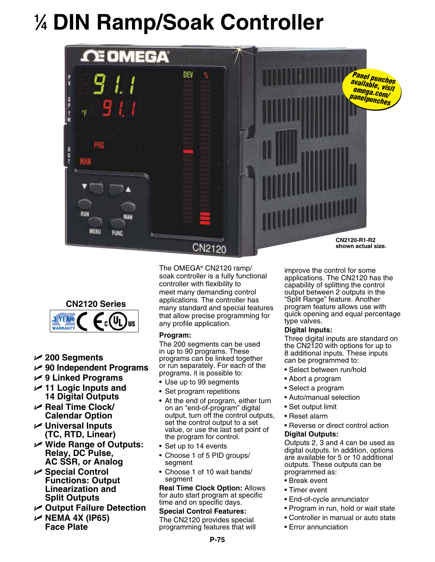# **1 ⁄4 DIN Ramp/Soak Controller**





- U **200 Segments**
- U **90 Independent Programs**
- U **9 Linked Programs**
- U **11 Logic Inputs and 14 Digital Outputs**
- U **Real Time Clock/ Calendar Option**
- **∠** Universal Inputs **(TC, RTD, Linear)**
- U **Wide Range of Outputs: Relay, DC Pulse, AC SSR, or Analog**
- U **Special Control Functions: Output Linearization and Split Outputs**
- U **Output Failure Detection**
- U **NEMA 4X (IP65) Face Plate**

The OMEGA® CN2120 ramp/ soak controller is a fully functional controller with flexibility to meet many demanding control applications. The controller has many standard and special features that allow precise programming for any profile application.

### **Program:**

The 200 segments can be used in up to 90 programs. These programs can be linked together or run separately. For each of the programs, it is possible to:

- Use up to 99 segments
- Set program repetitions
- At the end of program, either turn on an "end-of-program" digital output, turn off the control outputs, set the control output to a set value, or use the last set point of the program for control.
- Set up to 14 events
- Choose 1 of 5 PID groups/ segment
- Choose 1 of 10 wait bands/ segment

**Real Time Clock Option:** Allows for auto start program at specific time and on specific days.

#### **Special Control Features:** The CN2120 provides special

programming features that will

improve the control for some applications. The CN2120 has the capability of splitting the control output between 2 outputs in the "Split Range" feature. Another program feature allows use with quick opening and equal percentage type valves.

### **Digital Inputs:**

Three digital inputs are standard on the CN2120 with options for up to 8 additional inputs. These inputs can be programmed to:

- Select between run/hold
- Abort a program
- Select a program
- Auto/manual selection
- Set output limit
- Reset alarm
- Reverse or direct control action

### **Digital Outputs:**

Outputs 2, 3 and 4 can be used as digital outputs. In addition, options are available for 5 or 10 additional outputs. These outputs can be programmed as:

- Break event
- Timer event
- End-of-cycle annunciator
- Program in run, hold or wait state
- Controller in manual or auto state
- Error annunciation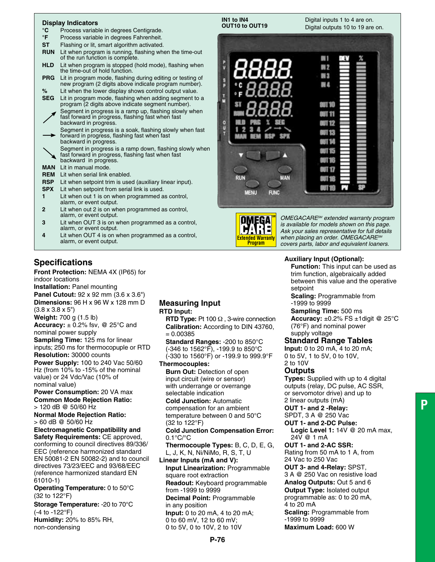#### **Display Indicators**

- **°C** Process variable in degrees Centigrade.
- **°F** Process variable in degrees Fahrenheit.
- **ST** Flashing or lit, smart algorithm activated.<br>**RUN** Lit when program is running, flashing when
- Lit when program is running, flashing when the time-out of the run function is complete.
- HLD Lit when program is stopped (hold mode), flashing when the time-out of hold function.
- **PRG** Lit in program mode, flashing during editing or testing of new program (2 digits above indicate program number).<br>
<sup>9</sup>/<sub>2</sub> lit when the lower display shows control output value.
- **%** Lit when the lower display shows control output value. Lit in program mode, flashing when adding segment to a program (2 digits above indicate segment number). Segment in progress is a ramp up, flashing slowly when
- fast forward in progress, flashing fast when fast backward in progress.
- Segment in progress is a soak, flashing slowly when fast forward in progress, flashing fast when fast backward in progress.
- Segment in progress is a ramp down, flashing slowly when
- fast forward in progress, flashing fast when fast backward in progress.
- **MAN** Lit in manual mode.
- **REM** Lit when serial link enabled.
- **RSP** Lit when setpoint trim is used (auxiliary linear input).
- **SPX** Lit when setpoint from serial link is used.
- **1** Lit when out 1 is on when programmed as control, alarm, or event output.
- **2** Lit when out 2 is on when programmed as control, alarm, or event output.
- **3** Lit when OUT 3 is on when programmed as a control, alarm, or event output.
- **4** Lit when OUT 4 is on when programmed as a control, alarm, or event output.

## **Specifications**

**Front Protection:** NEMA 4X (IP65) for indoor locations

**Installation:** Panel mounting **Panel Cutout: 92 x 92 mm (3.6 x 3.6")** 

**Dimensions:** 96 H x 96 W x 128 mm D (3.8 x 3.8 x 5")

**Weight:** 700 g (1.5 lb)

**Accuracy:** ± 0.2% fsv, @ 25°C and nominal power supply **Sampling Time:** 125 ms for linear

inputs; 250 ms for thermocopuple or RTD **Resolution:** 30000 counts

**Power Supply:** 100 to 240 Vac 50/60 Hz (from 10% to -15% of the nominal value) or 24 Vdc/Vac (10% of nominal value)

**Power Consumption:** 20 VA max **Common Mode Rejection Ratio:**  > 120 dB @ 50/60 Hz

**Normal Mode Rejection Ratio:**  > 60 dB @ 50/60 Hz

**Electromagnetic Compatibility and Safety Requirements:** CE approved, conforming to council directives 89/336/ EEC (reference harmonized standard EN 50081-2 EN 50082-2) and to council directives 73/23/EEC and 93/68/EEC (reference harmonized standard EN 61010-1)

**Operating Temperature:** 0 to 50°C (32 to 122°F)

**Storage Temperature:** -20 to 70°C (-4 to -122°F)

**Humidity:** 20% to 85% RH, non-condensing

#### **Measuring Input RTD Input:**

**RTD Type:** Pt 100 Ω , 3-wire connection **Calibration:** According to DIN 43760,  $= 0.00385$ 

**Standard Ranges:** -200 to 850°C (-346 to 1562°F), -199.9 to 850°C (-330 to 1560°F) or -199.9 to 999.9°F **Thermocouples:**

**Burn Out: Detection of open**  input circuit (wire or sensor) with underrange or overrange

selectable indication **Cold Junction:** Automatic compensation for an ambient temperature between 0 and 50°C (32 to 122°F)

**Cold Junction Compensation Error:**  0.1°C/°C

**Thermocouple Types:** B, C, D, E, G, L, J, K, N, Ni/NiMo, R, S, T, U

**Linear Inputs (mA and V): Input Linearization:** Programmable square root extraction **Readout:** Keyboard programmable from -1999 to 9999 **Decimal Point:** Programmable

in any position **Input:** 0 to 20 mA, 4 to 20 mA; 0 to 60 mV, 12 to 60 mV; 0 to 5V, 0 to 10V, 2 to 10V





*OMEGACARESM extended warranty program is available for models shown on this page. Ask your sales representative for full details when placing an order. OMEGACARESM covers parts, labor and equivalent loaners.*

#### **Auxiliary Input (Optional):**

**Function:** This input can be used as trim function, algebraically added between this value and the operative setpoint

**Scaling:** Programmable from -1999 to 9999

**Sampling Time:** 500 ms

**Accuracy:** ±0.2% FS ±1digit @ 25°C (76°F) and nominal power supply voltage

**Standard Range Tables**

**Input:** 0 to 20 mA, 4 to 20 mA; 0 to 5V, 1 to 5V, 0 to 10V,

2 to 10V

#### **Outputs**

**Types:** Supplied with up to 4 digital outputs (relay, DC pulse, AC SSR, or servomotor drive) and up to 2 linear outputs (mA)

**OUT 1- and 2 -Relay:** 

SPDT, 3 A @ 250 Vac

**OUT 1- and 2-DC Pulse: Logic Level 1:** 14V @ 20 mA max, 24V @ 1 mA **OUT 1- and 2-AC SSR:**  Rating from 50 mA to 1 A, from 24 Vac to 250 Vac

**OUT 3- and 4-Relay:** SPST, 3 A @ 250 Vac on resistive load **Analog Outputs:** Out 5 and 6 **Output Type: Isolated output** 

programmable as: 0 to 20 mA, 4 to 20 mA

**Scaling:** Programmable from -1999 to 9999

**Maximum Load:** 600 W

**P**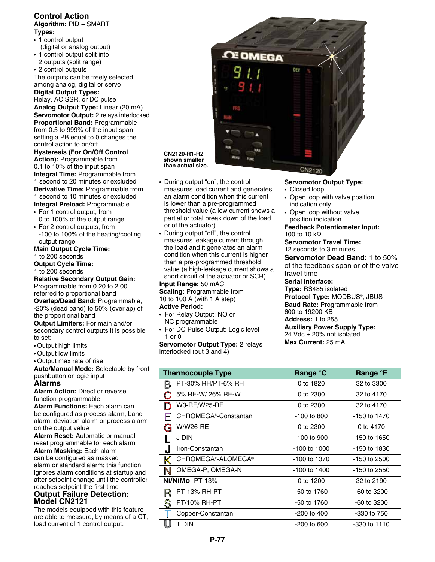# **Control Action**

**Algorithm:** PID + SMART **Types:** 

- **•**  1 control output (digital or analog output) **•**  1 control output split into
- 2 outputs (split range) **•**  2 control outputs

The outputs can be freely selected among analog, digital or servo

**Digital Output Types:**  Relay, AC SSR, or DC pulse **Analog Output Type:** Linear (20 mA) **Servomotor Output:** 2 relays interlocked **Proportional Band:** Programmable from 0.5 to 999% of the input span; setting a PB equal to 0 changes the control action to on/off

**Hysteresis (For On/Off Control Action):** Programmable from 0.1 to 10% of the input span **Integral Time: Programmable from** 1 second to 20 minutes or excluded **Derivative Time: Programmable from** 1 second to 10 minutes or excluded **Integral Preload:** Programmable

**•**  For 1 control output, from

- 0 to 100% of the output range • For 2 control outputs, from
- -100 to 100% of the heating/cooling output range

**Main Output Cycle Time:**  1 to 200 seconds

**Output Cycle Time:**  1 to 200 seconds

**Relative Secondary Output Gain:**  Programmable from 0.20 to 2.00 referred to proportional band

**Overlap/Dead Band:** Programmable, -20% (dead band) to 50% (overlap) of the proportional band

**Output Limiters:** For main and/or secondary control outputs it is possible to set:

- **•** Output high limits
- **•** Output low limits
- **•** Output max rate of rise

**Auto/Manual Mode:** Selectable by front pushbutton or logic input

#### **Alarms**

**Alarm Action:** Direct or reverse function programmable

**Alarm Functions:** Each alarm can be configured as process alarm, band alarm, deviation alarm or process alarm on the output value

**Alarm Reset:** Automatic or manual reset programmable for each alarm

**Alarm Masking:** Each alarm can be configured as masked alarm or standard alarm; this function ignores alarm conditions at startup and after setpoint change until the controller reaches setpoint the first time

### **Output Failure Detection: Model CN2121**

The models equipped with this feature are able to measure, by means of a CT, load current of 1 control output:



#### **CN2120-R1-R2 shown smaller than actual size.**

- **•**  During output "on", the control measures load current and generates an alarm condition when this current is lower than a pre-programmed threshold value (a low current shows a partial or total break down of the load or of the actuator)
- **•**  During output "off", the control measures leakage current through the load and it generates an alarm condition when this current is higher than a pre-programmed threshold value (a high-leakage current shows a short circuit of the actuator or SCR)

**Input Range:** 50 mAC **Scaling:** Programmable from 10 to 100 A (with 1 A step)

#### **Active Period:**

- **•**  For Relay Output: NO or NC programmable
- **•**  For DC Pulse Output: Logic level 1 or 0

**Servomotor Output Type:** 2 relays interlocked (out 3 and 4)

#### **Servomotor Output Type:**

- **•** Closed loop
- **•** Open loop with valve position indication only
- **•** Open loop without valve position indication

#### **Feedback Potentiometer Input:** 100 to 10 kΩ

**Servomotor Travel Time:**

12 seconds to 3 minutes **Servomotor Dead Band:** 1 to 50% of the feedback span or of the valve travel time **Serial Interface:**

**Type:** RS485 isolated **Protocol Type:** MODBUS®, JBUS **Baud Rate:** Programmable from 600 to 19200 KB **Address:** 1 to 255

**Auxiliary Power Supply Type:**  24 Vdc ± 20% not isolated **Max Current:** 25 mA

| 111011001100110010011011               |                  |              |
|----------------------------------------|------------------|--------------|
| <b>Thermocouple Type</b>               | Range °C         | Range °F     |
| PT-30% RH/PT-6% RH                     | 0 to 1820        | 32 to 3300   |
| 5% RE-W/ 26% RE-W                      | 0 to 2300        | 32 to 4170   |
| <b>W3-RE/W25-RE</b>                    | 0 to 2300        | 32 to 4170   |
| CHROMEGA <sup>®</sup> -Constantan<br>Е | $-100$ to 800    | -150 to 1470 |
| W/W26-RE<br>(j                         | 0 to 2300        | 0 to 4170    |
| J DIN                                  | $-100$ to 900    | -150 to 1650 |
| Iron-Constantan<br>J                   | $-100$ to $1000$ | -150 to 1830 |
| CHROMEGA®-ALOMEGA®<br>K                | -100 to 1370     | -150 to 2500 |
| OMEGA-P, OMEGA-N<br>N                  | -100 to 1400     | -150 to 2550 |
| Ni/NiMo PT-13%                         | 0 to 1200        | 32 to 2190   |
| <b>PT-13% RH-PT</b>                    | -50 to 1760      | -60 to 3200  |

 PT/10% RH-PT -50 to 1760 -60 to 3200 Copper-Constantan  $\vert$  -200 to 400  $\vert$  -330 to 750 **U** T DIN -200 to 600 -330 to 1110